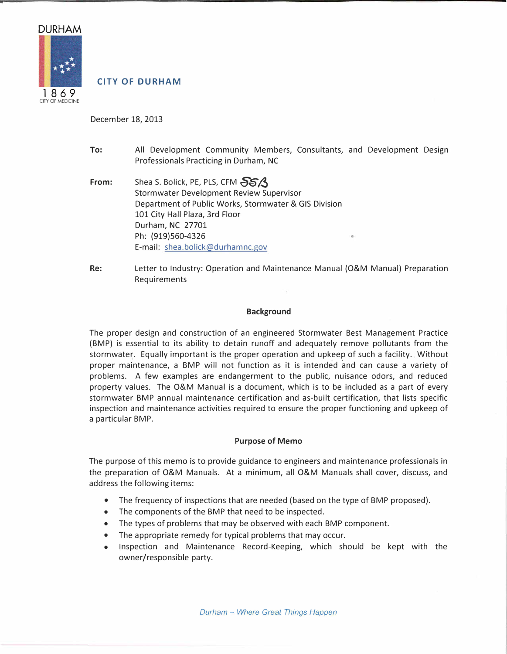

# **CITY OF DURHAM**

December 18, 2013

- **To:** All Development Community Members, Consultants, and Development Design Professionals Practicing in Durham, NC
- **From:** Shea S. Bolick, PE, PLS, CFM **SS** Stormwater Development Review Supervisor Department of Public Works, Stormwater & GIS Division 101 City Hall Plaza, 3rd Floor Durham, NC 27701 Ph: {919)560-4326 E-mail: shea.bolick@durhamnc.gov
- Re: Letter to Industry: Operation and Maintenance Manual {O&M Manual} Preparation Requirements

#### **Background**

The proper design and construction of an engineered Stormwater Best Management Practice {BMP} is essential to its ability to detain runoff and adequately remove pollutants from the stormwater. Equally important is the proper operation and upkeep of such a facility. Without proper maintenance, a BMP will not function as it is intended and can cause a variety of problems. A few examples are endangerment to the public, nuisance odors, and reduced property values. The O&M Manual is a document, which is to be included as a part of every stormwater BMP annual maintenance certification and as-built certification, that lists specific inspection and maintenance activities required to ensure the proper functioning and upkeep of a particular BMP.

#### **Purpose of Memo**

The purpose of this memo is to provide guidance to engineers and maintenance professionals in the preparation of O&M Manuals. At a minimum, all O&M Manuals shall cover, discuss, and address the following items:

- The frequency of inspections that are needed (based on the type of BMP proposed).
- The components of the BMP that need to be inspected.
- The types of problems that may be observed with each BMP component.
- The appropriate remedy for typical problems that may occur.
- Inspection and Maintenance Record-Keeping, which should be kept with the owner/responsible party.